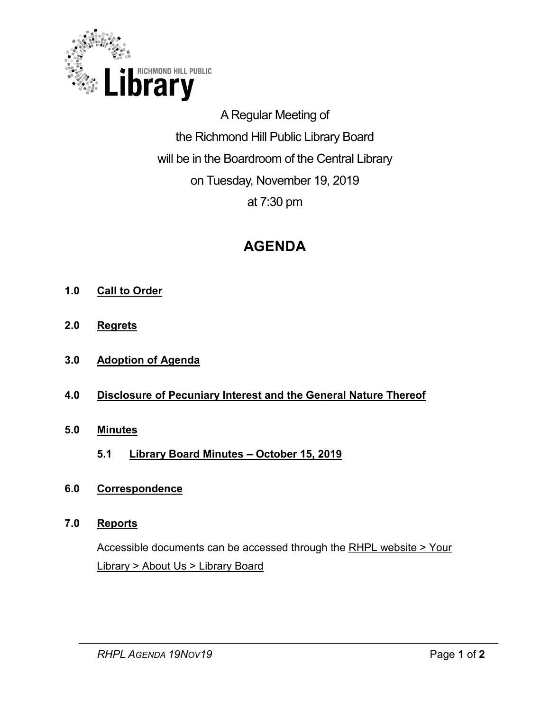

A Regular Meeting of the Richmond Hill Public Library Board will be in the Boardroom of the Central Library on Tuesday, November 19, 2019 at 7:30 pm

# **AGENDA**

- **1.0 Call to Order**
- **2.0 Regrets**
- **3.0 Adoption of Agenda**
- **4.0 Disclosure of Pecuniary Interest and the General Nature Thereof**
- **5.0 Minutes** 
	- **5.1 Library Board Minutes – October 15, 2019**
- **6.0 Correspondence**

#### **7.0 Reports**

Accessible documents can be accessed through the [RHPL website > Your](https://www.rhpl.ca/your-library/about-us/library-board)  Library [> About Us > Library Board](https://www.rhpl.ca/your-library/about-us/library-board)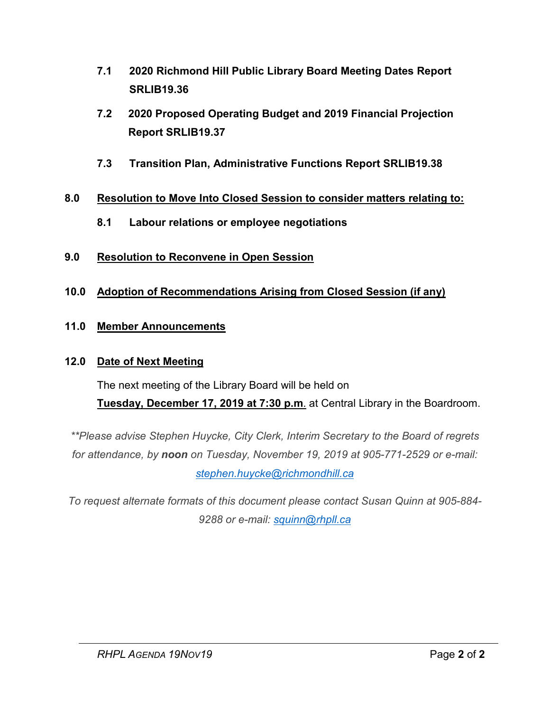- **7.1 2020 Richmond Hill Public Library Board Meeting Dates Report SRLIB19.36**
- **7.2 2020 Proposed Operating Budget and 2019 Financial Projection Report SRLIB19.37**
- **7.3 Transition Plan, Administrative Functions Report SRLIB19.38**

# **8.0 Resolution to Move Into Closed Session to consider matters relating to:**

- **8.1 Labour relations or employee negotiations**
- **9.0 Resolution to Reconvene in Open Session**
- **10.0 Adoption of Recommendations Arising from Closed Session (if any)**

# **11.0 Member Announcements**

#### **12.0 Date of Next Meeting**

The next meeting of the Library Board will be held on **Tuesday, December 17, 2019 at 7:30 p.m**. at Central Library in the Boardroom.

*\*\*Please advise Stephen Huycke, City Clerk, Interim Secretary to the Board of regrets for attendance, by noon on Tuesday, November 19, 2019 at 905-771-2529 or e-mail:*

*[stephen.huycke@richmondhill.ca](mailto:stephen.huycke@richmondhill.ca)*

*To request alternate formats of this document please contact Susan Quinn at 905-884- 9288 or e-mail: [squinn@rhpll.ca](mailto:squinn@rhpll.ca)*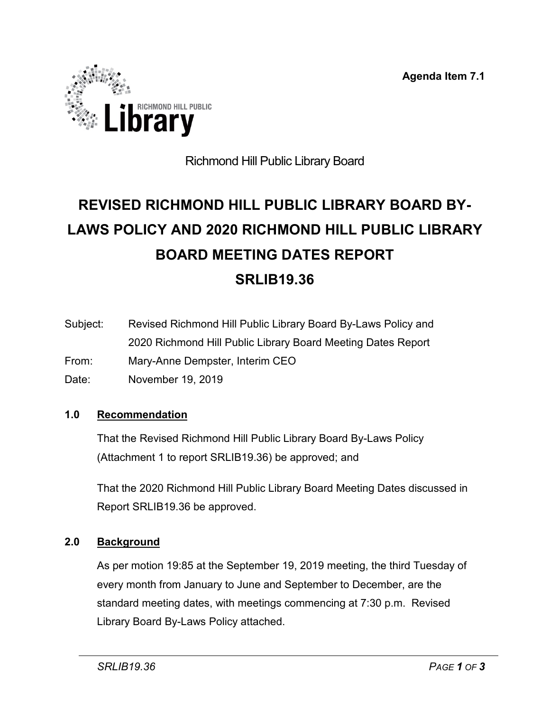**Agenda Item 7.1**



# Richmond Hill Public Library Board

# **REVISED RICHMOND HILL PUBLIC LIBRARY BOARD BY-LAWS POLICY AND 2020 RICHMOND HILL PUBLIC LIBRARY BOARD MEETING DATES REPORT SRLIB19.36**

- Subject: Revised Richmond Hill Public Library Board By-Laws Policy and 2020 Richmond Hill Public Library Board Meeting Dates Report From: Mary-Anne Dempster, Interim CEO
- Date: November 19, 2019

#### **1.0 Recommendation**

That the Revised Richmond Hill Public Library Board By-Laws Policy (Attachment 1 to report SRLIB19.36) be approved; and

That the 2020 Richmond Hill Public Library Board Meeting Dates discussed in Report SRLIB19.36 be approved.

#### **2.0 Background**

As per motion 19:85 at the September 19, 2019 meeting, the third Tuesday of every month from January to June and September to December, are the standard meeting dates, with meetings commencing at 7:30 p.m. Revised Library Board By-Laws Policy attached.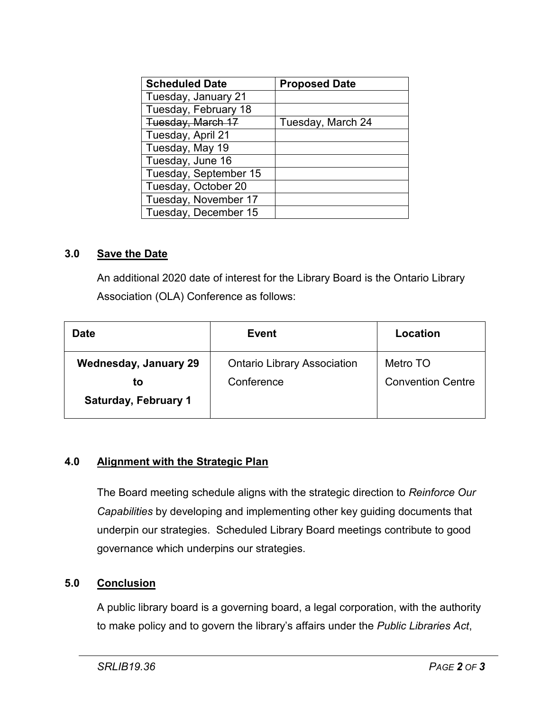| <b>Scheduled Date</b> | <b>Proposed Date</b> |
|-----------------------|----------------------|
| Tuesday, January 21   |                      |
| Tuesday, February 18  |                      |
| Tuesday, March 17     | Tuesday, March 24    |
| Tuesday, April 21     |                      |
| Tuesday, May 19       |                      |
| Tuesday, June 16      |                      |
| Tuesday, September 15 |                      |
| Tuesday, October 20   |                      |
| Tuesday, November 17  |                      |
| Tuesday, December 15  |                      |

#### **3.0 Save the Date**

An additional 2020 date of interest for the Library Board is the Ontario Library Association (OLA) Conference as follows:

| <b>Date</b>                       | Event                              | Location                 |
|-----------------------------------|------------------------------------|--------------------------|
| <b>Wednesday, January 29</b>      | <b>Ontario Library Association</b> | Metro TO                 |
| to<br><b>Saturday, February 1</b> | Conference                         | <b>Convention Centre</b> |

#### **4.0 Alignment with the Strategic Plan**

The Board meeting schedule aligns with the strategic direction to *Reinforce Our Capabilities* by developing and implementing other key guiding documents that underpin our strategies. Scheduled Library Board meetings contribute to good governance which underpins our strategies.

#### **5.0 Conclusion**

A public library board is a governing board, a legal corporation, with the authority to make policy and to govern the library's affairs under the *Public Libraries Act*,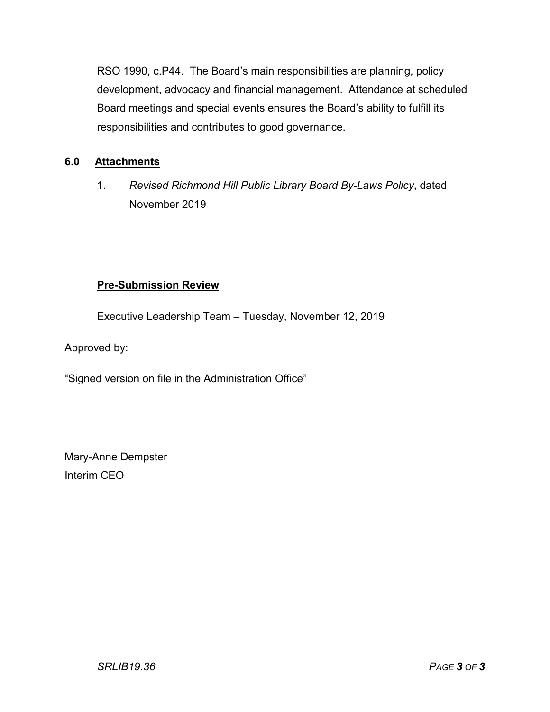RSO 1990, c.P44. The Board's main responsibilities are planning, policy development, advocacy and financial management. Attendance at scheduled Board meetings and special events ensures the Board's ability to fulfill its responsibilities and contributes to good governance.

# **6.0 Attachments**

1. *Revised Richmond Hill Public Library Board By-Laws Policy*, dated November 2019

#### **Pre-Submission Review**

Executive Leadership Team – Tuesday, November 12, 2019

Approved by:

"Signed version on file in the Administration Office"

Mary-Anne Dempster Interim CEO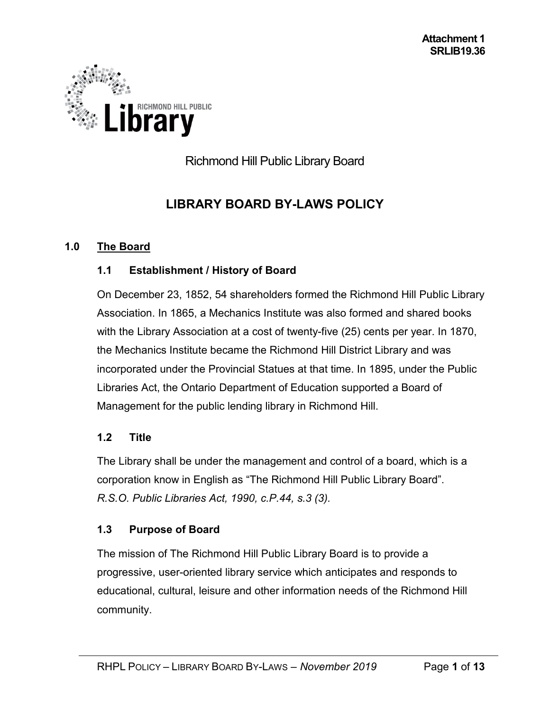

Richmond Hill Public Library Board

# **LIBRARY BOARD BY-LAWS POLICY**

#### **1.0 The Board**

#### **1.1 Establishment / History of Board**

On December 23, 1852, 54 shareholders formed the Richmond Hill Public Library Association. In 1865, a Mechanics Institute was also formed and shared books with the Library Association at a cost of twenty-five (25) cents per year. In 1870, the Mechanics Institute became the Richmond Hill District Library and was incorporated under the Provincial Statues at that time. In 1895, under the Public Libraries Act, the Ontario Department of Education supported a Board of Management for the public lending library in Richmond Hill.

#### **1.2 Title**

The Library shall be under the management and control of a board, which is a corporation know in English as "The Richmond Hill Public Library Board". *R.S.O. Public Libraries Act, 1990, c.P.44, s.3 (3).*

# **1.3 Purpose of Board**

The mission of The Richmond Hill Public Library Board is to provide a progressive, user-oriented library service which anticipates and responds to educational, cultural, leisure and other information needs of the Richmond Hill community.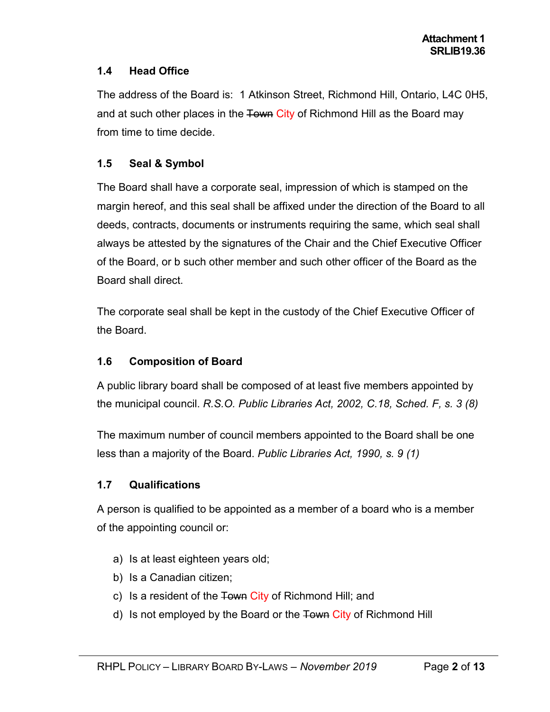# **1.4 Head Office**

The address of the Board is: 1 Atkinson Street, Richmond Hill, Ontario, L4C 0H5, and at such other places in the Town City of Richmond Hill as the Board may from time to time decide.

# **1.5 Seal & Symbol**

The Board shall have a corporate seal, impression of which is stamped on the margin hereof, and this seal shall be affixed under the direction of the Board to all deeds, contracts, documents or instruments requiring the same, which seal shall always be attested by the signatures of the Chair and the Chief Executive Officer of the Board, or b such other member and such other officer of the Board as the Board shall direct.

The corporate seal shall be kept in the custody of the Chief Executive Officer of the Board.

# **1.6 Composition of Board**

A public library board shall be composed of at least five members appointed by the municipal council. *R.S.O. Public Libraries Act, 2002, C.18, Sched. F, s. 3 (8)*

The maximum number of council members appointed to the Board shall be one less than a majority of the Board. *Public Libraries Act, 1990, s. 9 (1)*

# **1.7 Qualifications**

A person is qualified to be appointed as a member of a board who is a member of the appointing council or:

- a) Is at least eighteen years old;
- b) Is a Canadian citizen;
- c) Is a resident of the Town City of Richmond Hill; and
- d) Is not employed by the Board or the Town City of Richmond Hill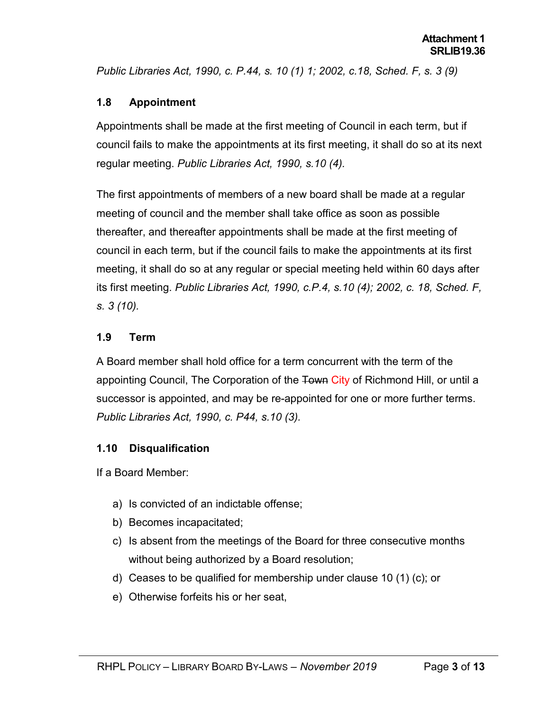*Public Libraries Act, 1990, c. P.44, s. 10 (1) 1; 2002, c.18, Sched. F, s. 3 (9)*

#### **1.8 Appointment**

Appointments shall be made at the first meeting of Council in each term, but if council fails to make the appointments at its first meeting, it shall do so at its next regular meeting. *Public Libraries Act, 1990, s.10 (4).*

The first appointments of members of a new board shall be made at a regular meeting of council and the member shall take office as soon as possible thereafter, and thereafter appointments shall be made at the first meeting of council in each term, but if the council fails to make the appointments at its first meeting, it shall do so at any regular or special meeting held within 60 days after its first meeting. *Public Libraries Act, 1990, c.P.4, s.10 (4); 2002, c. 18, Sched. F, s. 3 (10).*

#### **1.9 Term**

A Board member shall hold office for a term concurrent with the term of the appointing Council, The Corporation of the Town City of Richmond Hill, or until a successor is appointed, and may be re-appointed for one or more further terms. *Public Libraries Act, 1990, c. P44, s.10 (3).*

# **1.10 Disqualification**

If a Board Member:

- a) Is convicted of an indictable offense;
- b) Becomes incapacitated;
- c) Is absent from the meetings of the Board for three consecutive months without being authorized by a Board resolution;
- d) Ceases to be qualified for membership under clause 10 (1) (c); or
- e) Otherwise forfeits his or her seat,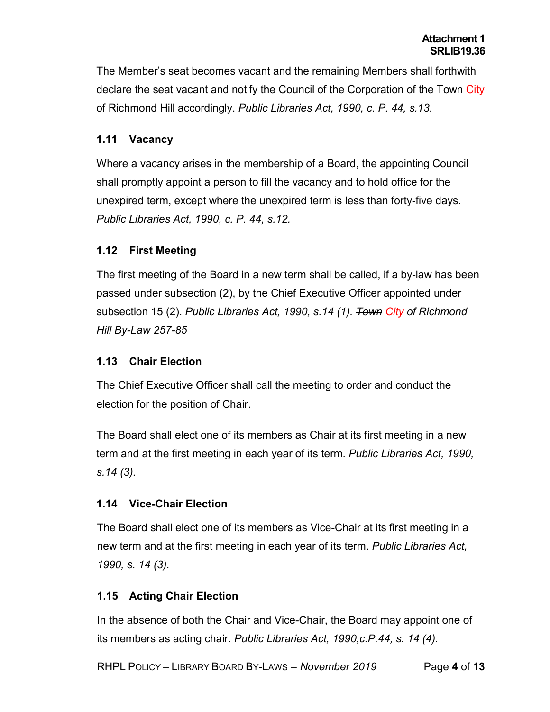The Member's seat becomes vacant and the remaining Members shall forthwith declare the seat vacant and notify the Council of the Corporation of the Town City of Richmond Hill accordingly. *Public Libraries Act, 1990, c. P. 44, s.13.*

#### **1.11 Vacancy**

Where a vacancy arises in the membership of a Board, the appointing Council shall promptly appoint a person to fill the vacancy and to hold office for the unexpired term, except where the unexpired term is less than forty-five days. *Public Libraries Act, 1990, c. P. 44, s.12.*

#### **1.12 First Meeting**

The first meeting of the Board in a new term shall be called, if a by-law has been passed under subsection (2), by the Chief Executive Officer appointed under subsection 15 (2). *Public Libraries Act, 1990, s.14 (1). Town City of Richmond Hill By-Law 257-85*

#### **1.13 Chair Election**

The Chief Executive Officer shall call the meeting to order and conduct the election for the position of Chair.

The Board shall elect one of its members as Chair at its first meeting in a new term and at the first meeting in each year of its term. *Public Libraries Act, 1990, s.14 (3).*

# **1.14 Vice-Chair Election**

The Board shall elect one of its members as Vice-Chair at its first meeting in a new term and at the first meeting in each year of its term. *Public Libraries Act, 1990, s. 14 (3).*

# **1.15 Acting Chair Election**

In the absence of both the Chair and Vice-Chair, the Board may appoint one of its members as acting chair. *Public Libraries Act, 1990,c.P.44, s. 14 (4).*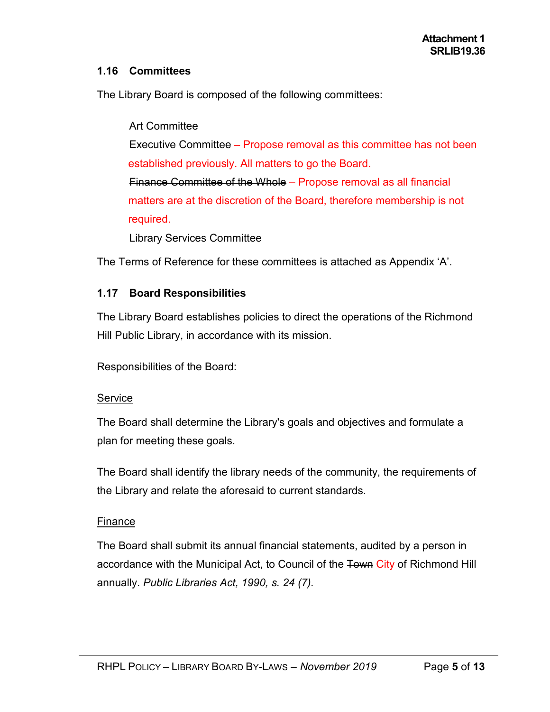#### **1.16 Committees**

The Library Board is composed of the following committees:

Art Committee Executive Committee – Propose removal as this committee has not been established previously. All matters to go the Board. Finance Committee of the Whole – Propose removal as all financial matters are at the discretion of the Board, therefore membership is not required.

Library Services Committee

The Terms of Reference for these committees is attached as Appendix 'A'.

#### **1.17 Board Responsibilities**

The Library Board establishes policies to direct the operations of the Richmond Hill Public Library, in accordance with its mission.

Responsibilities of the Board:

#### Service

The Board shall determine the Library's goals and objectives and formulate a plan for meeting these goals.

The Board shall identify the library needs of the community, the requirements of the Library and relate the aforesaid to current standards.

#### Finance

The Board shall submit its annual financial statements, audited by a person in accordance with the Municipal Act, to Council of the Town City of Richmond Hill annually. *Public Libraries Act, 1990, s. 24 (7).*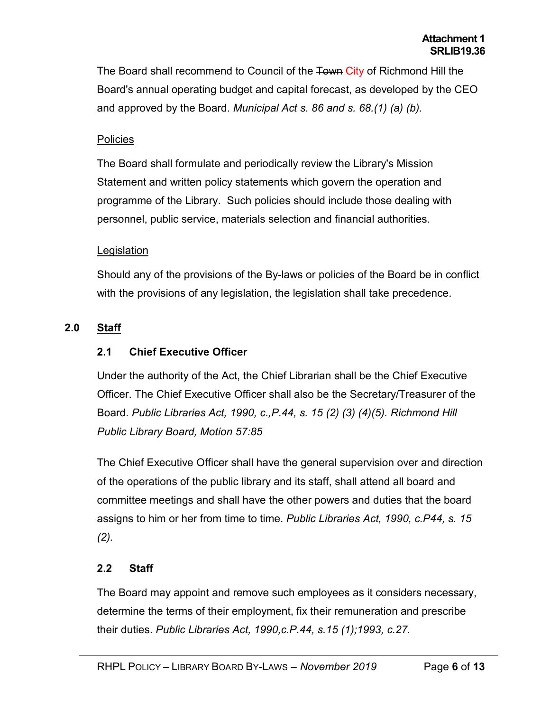The Board shall recommend to Council of the Town City of Richmond Hill the Board's annual operating budget and capital forecast, as developed by the CEO and approved by the Board. *Municipal Act s. 86 and s. 68.(1) (a) (b).*

#### **Policies**

The Board shall formulate and periodically review the Library's Mission Statement and written policy statements which govern the operation and programme of the Library. Such policies should include those dealing with personnel, public service, materials selection and financial authorities.

#### **Legislation**

Should any of the provisions of the By-laws or policies of the Board be in conflict with the provisions of any legislation, the legislation shall take precedence.

# **2.0 Staff**

# **2.1 Chief Executive Officer**

Under the authority of the Act, the Chief Librarian shall be the Chief Executive Officer. The Chief Executive Officer shall also be the Secretary/Treasurer of the Board. *Public Libraries Act, 1990, c.,P.44, s. 15 (2) (3) (4)(5). Richmond Hill Public Library Board, Motion 57:85*

The Chief Executive Officer shall have the general supervision over and direction of the operations of the public library and its staff, shall attend all board and committee meetings and shall have the other powers and duties that the board assigns to him or her from time to time. *Public Libraries Act, 1990, c.P44, s. 15 (2).*

# **2.2 Staff**

The Board may appoint and remove such employees as it considers necessary, determine the terms of their employment, fix their remuneration and prescribe their duties. *Public Libraries Act, 1990,c.P.44, s.15 (1);1993, c.27.*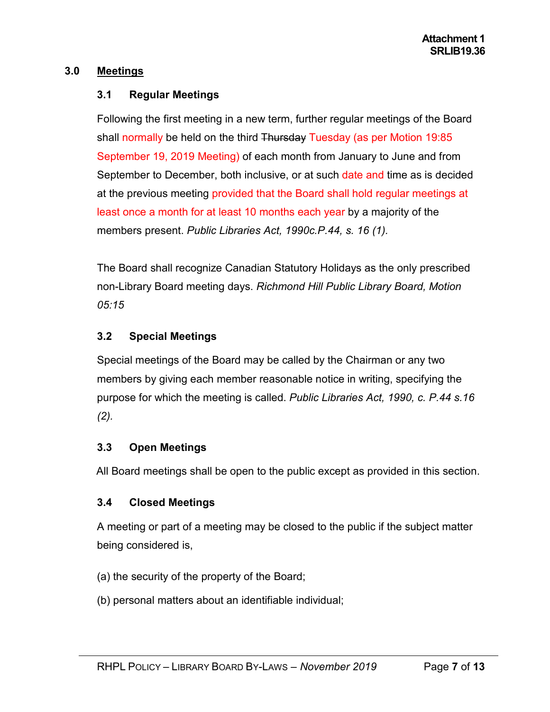#### **3.0 Meetings**

#### **3.1 Regular Meetings**

Following the first meeting in a new term, further regular meetings of the Board shall normally be held on the third Thursday Tuesday (as per Motion 19:85 September 19, 2019 Meeting) of each month from January to June and from September to December, both inclusive, or at such date and time as is decided at the previous meeting provided that the Board shall hold regular meetings at least once a month for at least 10 months each year by a majority of the members present. *Public Libraries Act, 1990c.P.44, s. 16 (1).*

The Board shall recognize Canadian Statutory Holidays as the only prescribed non-Library Board meeting days. *Richmond Hill Public Library Board, Motion 05:15*

# **3.2 Special Meetings**

Special meetings of the Board may be called by the Chairman or any two members by giving each member reasonable notice in writing, specifying the purpose for which the meeting is called. *Public Libraries Act, 1990, c. P.44 s.16 (2).*

# **3.3 Open Meetings**

All Board meetings shall be open to the public except as provided in this section.

# **3.4 Closed Meetings**

A meeting or part of a meeting may be closed to the public if the subject matter being considered is,

- (a) the security of the property of the Board;
- (b) personal matters about an identifiable individual;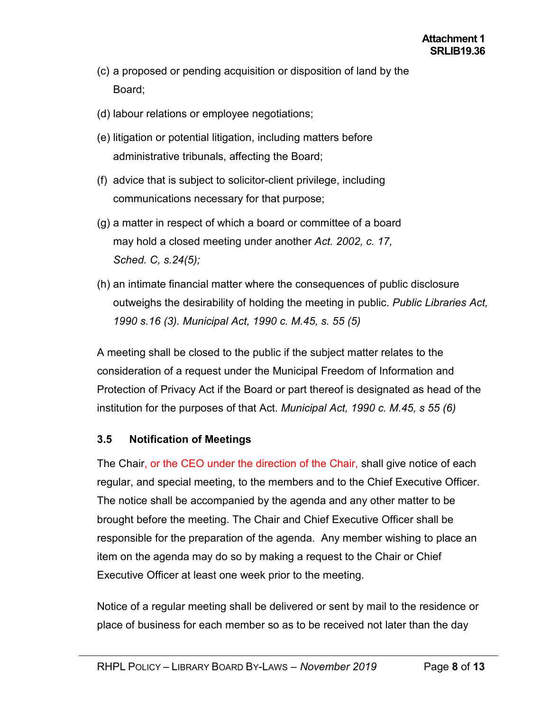- (c) a proposed or pending acquisition or disposition of land by the Board;
- (d) labour relations or employee negotiations;
- (e) litigation or potential litigation, including matters before administrative tribunals, affecting the Board;
- (f) advice that is subject to solicitor-client privilege, including communications necessary for that purpose;
- (g) a matter in respect of which a board or committee of a board may hold a closed meeting under another *Act. 2002, c. 17, Sched. C, s.24(5);*
- (h) an intimate financial matter where the consequences of public disclosure outweighs the desirability of holding the meeting in public. *Public Libraries Act, 1990 s.16 (3). Municipal Act, 1990 c. M.45, s. 55 (5)*

A meeting shall be closed to the public if the subject matter relates to the consideration of a request under the Municipal Freedom of Information and Protection of Privacy Act if the Board or part thereof is designated as head of the institution for the purposes of that Act. *Municipal Act, 1990 c. M.45, s 55 (6)*

# **3.5 Notification of Meetings**

The Chair, or the CEO under the direction of the Chair, shall give notice of each regular, and special meeting, to the members and to the Chief Executive Officer. The notice shall be accompanied by the agenda and any other matter to be brought before the meeting. The Chair and Chief Executive Officer shall be responsible for the preparation of the agenda. Any member wishing to place an item on the agenda may do so by making a request to the Chair or Chief Executive Officer at least one week prior to the meeting.

Notice of a regular meeting shall be delivered or sent by mail to the residence or place of business for each member so as to be received not later than the day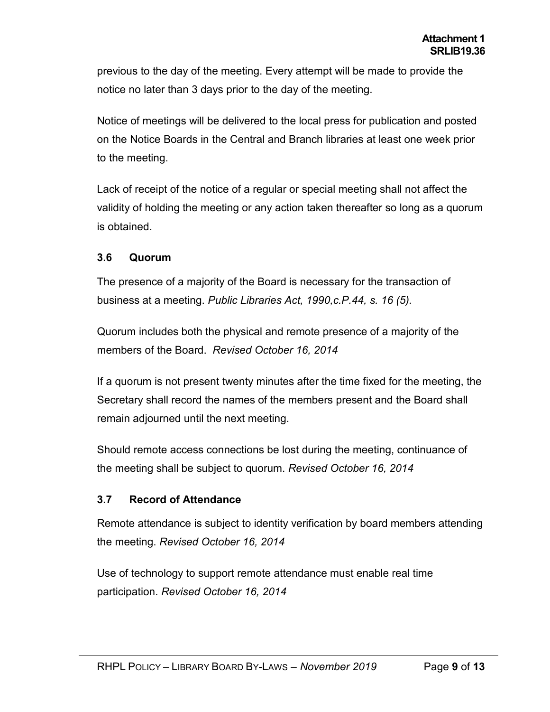previous to the day of the meeting. Every attempt will be made to provide the notice no later than 3 days prior to the day of the meeting.

Notice of meetings will be delivered to the local press for publication and posted on the Notice Boards in the Central and Branch libraries at least one week prior to the meeting.

Lack of receipt of the notice of a regular or special meeting shall not affect the validity of holding the meeting or any action taken thereafter so long as a quorum is obtained.

#### **3.6 Quorum**

The presence of a majority of the Board is necessary for the transaction of business at a meeting. *Public Libraries Act, 1990,c.P.44, s. 16 (5).*

Quorum includes both the physical and remote presence of a majority of the members of the Board. *Revised October 16, 2014*

If a quorum is not present twenty minutes after the time fixed for the meeting, the Secretary shall record the names of the members present and the Board shall remain adjourned until the next meeting.

Should remote access connections be lost during the meeting, continuance of the meeting shall be subject to quorum. *Revised October 16, 2014*

#### **3.7 Record of Attendance**

Remote attendance is subject to identity verification by board members attending the meeting. *Revised October 16, 2014*

Use of technology to support remote attendance must enable real time participation. *Revised October 16, 2014*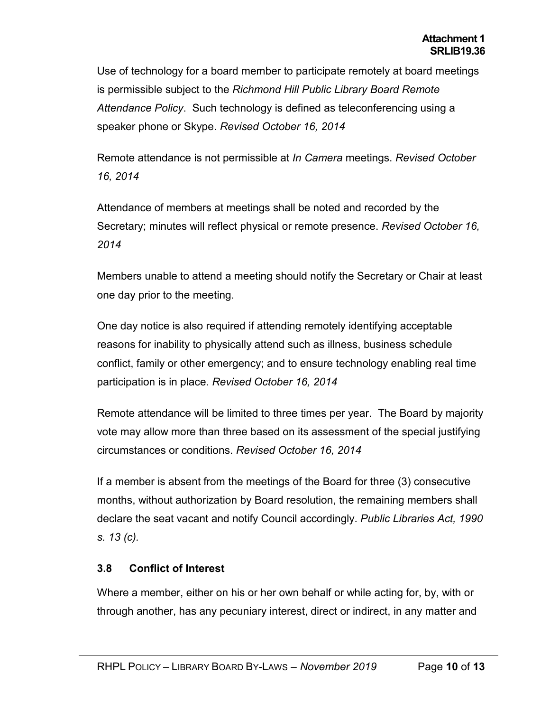Use of technology for a board member to participate remotely at board meetings is permissible subject to the *Richmond Hill Public Library Board Remote Attendance Policy*. Such technology is defined as teleconferencing using a speaker phone or Skype. *Revised October 16, 2014*

Remote attendance is not permissible at *In Camera* meetings. *Revised October 16, 2014*

Attendance of members at meetings shall be noted and recorded by the Secretary; minutes will reflect physical or remote presence. *Revised October 16, 2014*

Members unable to attend a meeting should notify the Secretary or Chair at least one day prior to the meeting.

One day notice is also required if attending remotely identifying acceptable reasons for inability to physically attend such as illness, business schedule conflict, family or other emergency; and to ensure technology enabling real time participation is in place. *Revised October 16, 2014*

Remote attendance will be limited to three times per year. The Board by majority vote may allow more than three based on its assessment of the special justifying circumstances or conditions. *Revised October 16, 2014*

If a member is absent from the meetings of the Board for three (3) consecutive months, without authorization by Board resolution, the remaining members shall declare the seat vacant and notify Council accordingly. *Public Libraries Act, 1990 s. 13 (c).*

# **3.8 Conflict of Interest**

Where a member, either on his or her own behalf or while acting for, by, with or through another, has any pecuniary interest, direct or indirect, in any matter and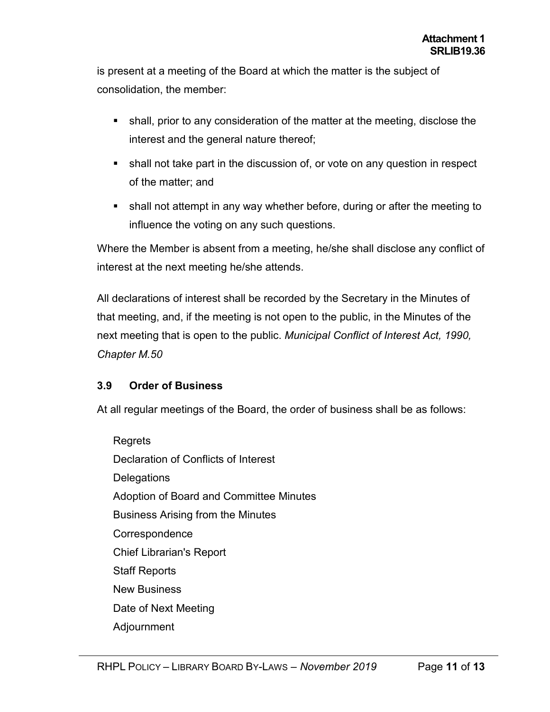is present at a meeting of the Board at which the matter is the subject of consolidation, the member:

- shall, prior to any consideration of the matter at the meeting, disclose the interest and the general nature thereof;
- shall not take part in the discussion of, or vote on any question in respect of the matter; and
- shall not attempt in any way whether before, during or after the meeting to influence the voting on any such questions.

Where the Member is absent from a meeting, he/she shall disclose any conflict of interest at the next meeting he/she attends.

All declarations of interest shall be recorded by the Secretary in the Minutes of that meeting, and, if the meeting is not open to the public, in the Minutes of the next meeting that is open to the public. *Municipal Conflict of Interest Act, 1990, Chapter M.50*

# **3.9 Order of Business**

At all regular meetings of the Board, the order of business shall be as follows:

Regrets Declaration of Conflicts of Interest **Delegations** Adoption of Board and Committee Minutes Business Arising from the Minutes **Correspondence** Chief Librarian's Report Staff Reports New Business Date of Next Meeting Adjournment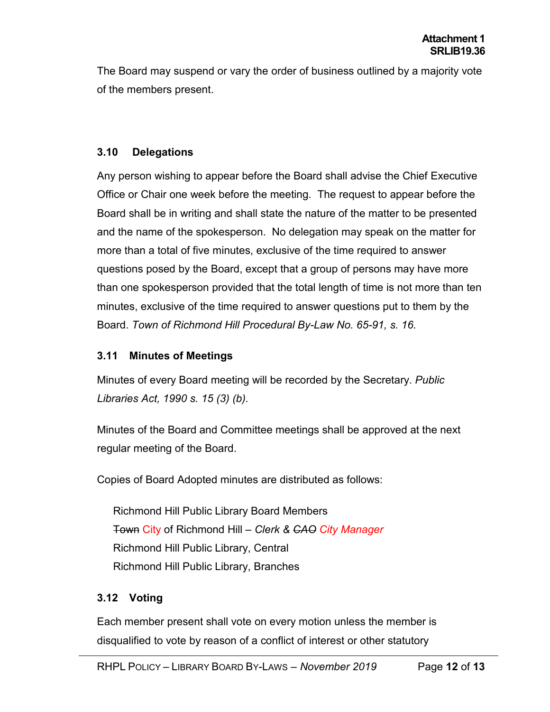The Board may suspend or vary the order of business outlined by a majority vote of the members present.

#### **3.10 Delegations**

Any person wishing to appear before the Board shall advise the Chief Executive Office or Chair one week before the meeting. The request to appear before the Board shall be in writing and shall state the nature of the matter to be presented and the name of the spokesperson. No delegation may speak on the matter for more than a total of five minutes, exclusive of the time required to answer questions posed by the Board, except that a group of persons may have more than one spokesperson provided that the total length of time is not more than ten minutes, exclusive of the time required to answer questions put to them by the Board. *Town of Richmond Hill Procedural By-Law No. 65-91, s. 16.*

# **3.11 Minutes of Meetings**

Minutes of every Board meeting will be recorded by the Secretary. *Public Libraries Act, 1990 s. 15 (3) (b).*

Minutes of the Board and Committee meetings shall be approved at the next regular meeting of the Board.

Copies of Board Adopted minutes are distributed as follows:

Richmond Hill Public Library Board Members Town City of Richmond Hill *– Clerk & CAO City Manager* Richmond Hill Public Library, Central Richmond Hill Public Library, Branches

# **3.12 Voting**

Each member present shall vote on every motion unless the member is disqualified to vote by reason of a conflict of interest or other statutory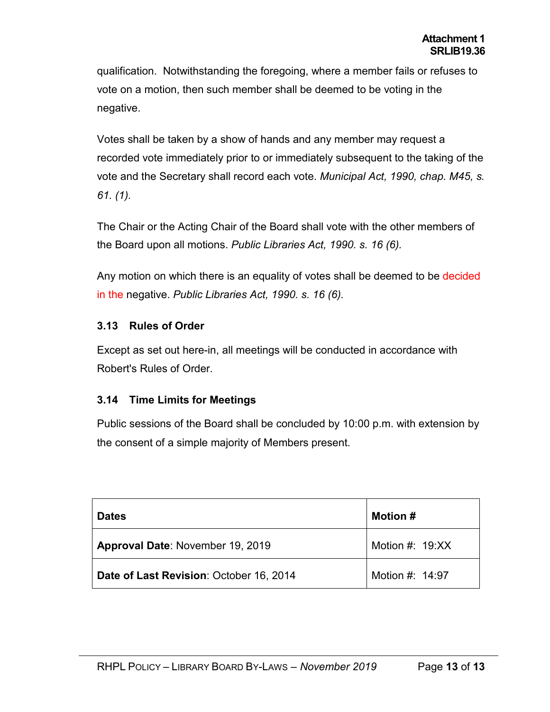qualification. Notwithstanding the foregoing, where a member fails or refuses to vote on a motion, then such member shall be deemed to be voting in the negative.

Votes shall be taken by a show of hands and any member may request a recorded vote immediately prior to or immediately subsequent to the taking of the vote and the Secretary shall record each vote. *Municipal Act, 1990, chap. M45, s. 61. (1).*

The Chair or the Acting Chair of the Board shall vote with the other members of the Board upon all motions. *Public Libraries Act, 1990. s. 16 (6).*

Any motion on which there is an equality of votes shall be deemed to be decided in the negative. *Public Libraries Act, 1990. s. 16 (6).*

# **3.13 Rules of Order**

Except as set out here-in, all meetings will be conducted in accordance with Robert's Rules of Order.

# **3.14 Time Limits for Meetings**

Public sessions of the Board shall be concluded by 10:00 p.m. with extension by the consent of a simple majority of Members present.

| <b>Dates</b>                            | <b>Motion #</b>   |
|-----------------------------------------|-------------------|
| <b>Approval Date: November 19, 2019</b> | Motion #: $19:XX$ |
| Date of Last Revision: October 16, 2014 | Motion #: 14:97   |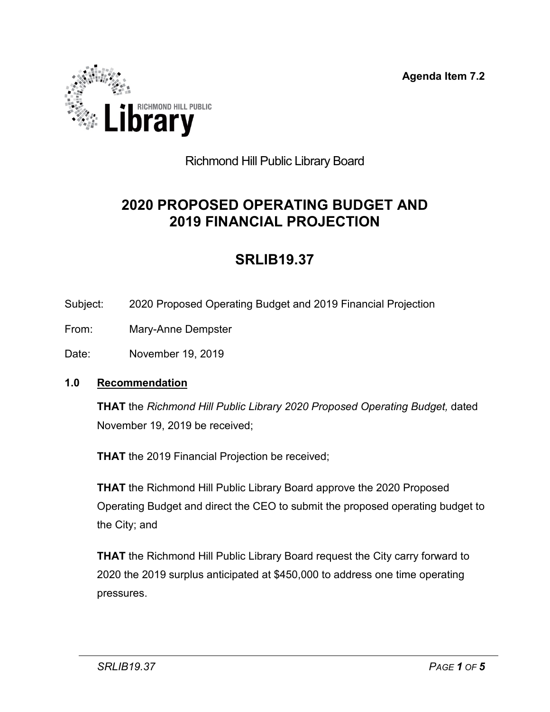**Agenda Item 7.2**



# Richmond Hill Public Library Board

# **2020 PROPOSED OPERATING BUDGET AND 2019 FINANCIAL PROJECTION**

# **SRLIB19.37**

- Subject: 2020 Proposed Operating Budget and 2019 Financial Projection
- From: Mary-Anne Dempster
- Date: November 19, 2019

#### **1.0 Recommendation**

**THAT** the *Richmond Hill Public Library 2020 Proposed Operating Budget,* dated November 19, 2019 be received;

**THAT** the 2019 Financial Projection be received;

**THAT** the Richmond Hill Public Library Board approve the 2020 Proposed Operating Budget and direct the CEO to submit the proposed operating budget to the City; and

**THAT** the Richmond Hill Public Library Board request the City carry forward to 2020 the 2019 surplus anticipated at \$450,000 to address one time operating pressures.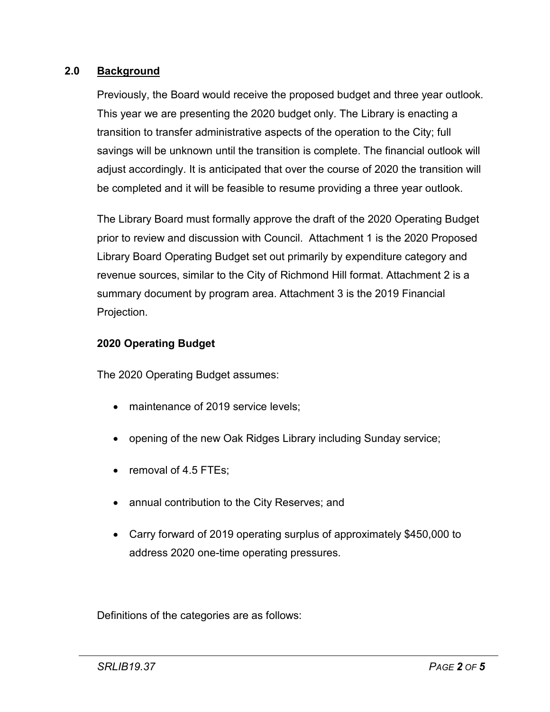#### **2.0 Background**

Previously, the Board would receive the proposed budget and three year outlook. This year we are presenting the 2020 budget only. The Library is enacting a transition to transfer administrative aspects of the operation to the City; full savings will be unknown until the transition is complete. The financial outlook will adjust accordingly. It is anticipated that over the course of 2020 the transition will be completed and it will be feasible to resume providing a three year outlook.

The Library Board must formally approve the draft of the 2020 Operating Budget prior to review and discussion with Council. Attachment 1 is the 2020 Proposed Library Board Operating Budget set out primarily by expenditure category and revenue sources, similar to the City of Richmond Hill format. Attachment 2 is a summary document by program area. Attachment 3 is the 2019 Financial Projection.

#### **2020 Operating Budget**

The 2020 Operating Budget assumes:

- maintenance of 2019 service levels:
- opening of the new Oak Ridges Library including Sunday service;
- removal of 4.5 FTEs;
- annual contribution to the City Reserves; and
- Carry forward of 2019 operating surplus of approximately \$450,000 to address 2020 one-time operating pressures.

Definitions of the categories are as follows: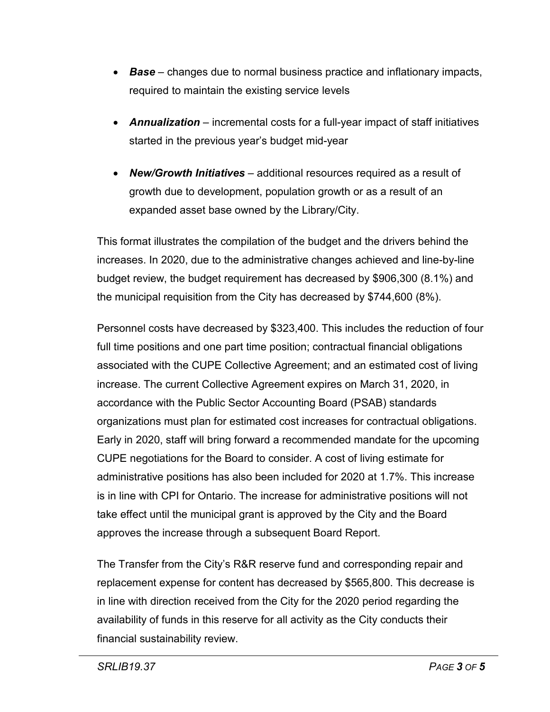- *Base* changes due to normal business practice and inflationary impacts, required to maintain the existing service levels
- *Annualization* incremental costs for a full-year impact of staff initiatives started in the previous year's budget mid-year
- *New/Growth Initiatives* additional resources required as a result of growth due to development, population growth or as a result of an expanded asset base owned by the Library/City.

This format illustrates the compilation of the budget and the drivers behind the increases. In 2020, due to the administrative changes achieved and line-by-line budget review, the budget requirement has decreased by \$906,300 (8.1%) and the municipal requisition from the City has decreased by \$744,600 (8%).

Personnel costs have decreased by \$323,400. This includes the reduction of four full time positions and one part time position; contractual financial obligations associated with the CUPE Collective Agreement; and an estimated cost of living increase. The current Collective Agreement expires on March 31, 2020, in accordance with the Public Sector Accounting Board (PSAB) standards organizations must plan for estimated cost increases for contractual obligations. Early in 2020, staff will bring forward a recommended mandate for the upcoming CUPE negotiations for the Board to consider. A cost of living estimate for administrative positions has also been included for 2020 at 1.7%. This increase is in line with CPI for Ontario. The increase for administrative positions will not take effect until the municipal grant is approved by the City and the Board approves the increase through a subsequent Board Report.

The Transfer from the City's R&R reserve fund and corresponding repair and replacement expense for content has decreased by \$565,800. This decrease is in line with direction received from the City for the 2020 period regarding the availability of funds in this reserve for all activity as the City conducts their financial sustainability review.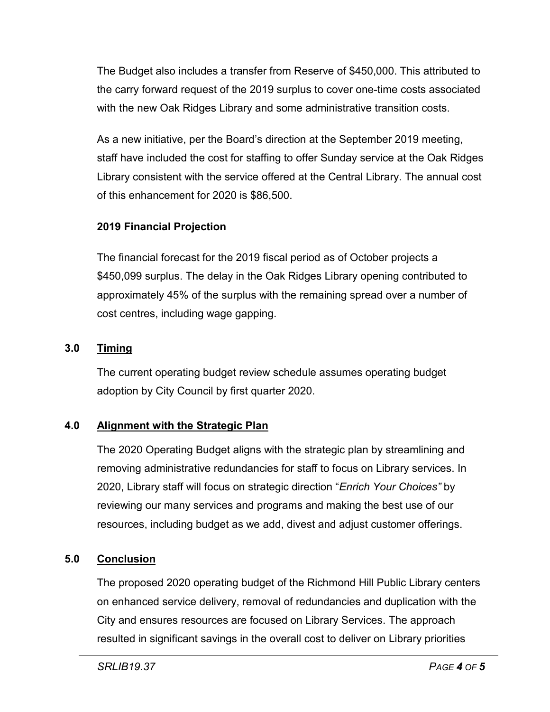The Budget also includes a transfer from Reserve of \$450,000. This attributed to the carry forward request of the 2019 surplus to cover one-time costs associated with the new Oak Ridges Library and some administrative transition costs.

As a new initiative, per the Board's direction at the September 2019 meeting, staff have included the cost for staffing to offer Sunday service at the Oak Ridges Library consistent with the service offered at the Central Library. The annual cost of this enhancement for 2020 is \$86,500.

# **2019 Financial Projection**

The financial forecast for the 2019 fiscal period as of October projects a \$450,099 surplus. The delay in the Oak Ridges Library opening contributed to approximately 45% of the surplus with the remaining spread over a number of cost centres, including wage gapping.

# **3.0 Timing**

The current operating budget review schedule assumes operating budget adoption by City Council by first quarter 2020.

# **4.0 Alignment with the Strategic Plan**

The 2020 Operating Budget aligns with the strategic plan by streamlining and removing administrative redundancies for staff to focus on Library services. In 2020, Library staff will focus on strategic direction "*Enrich Your Choices"* by reviewing our many services and programs and making the best use of our resources, including budget as we add, divest and adjust customer offerings.

# **5.0 Conclusion**

The proposed 2020 operating budget of the Richmond Hill Public Library centers on enhanced service delivery, removal of redundancies and duplication with the City and ensures resources are focused on Library Services. The approach resulted in significant savings in the overall cost to deliver on Library priorities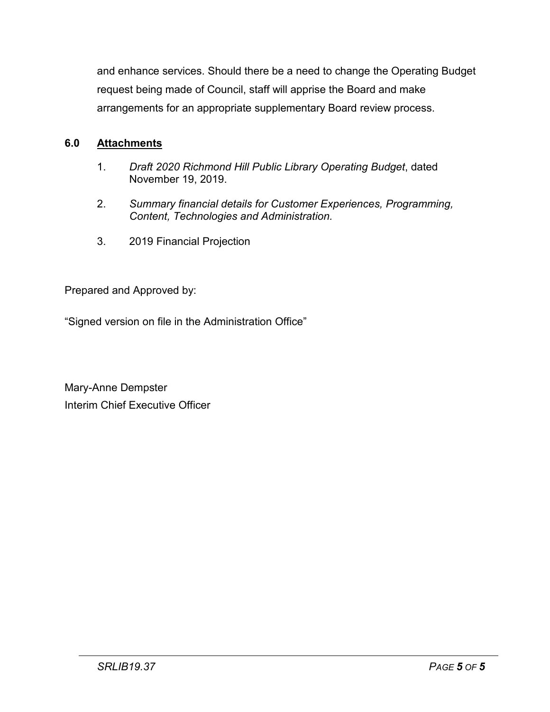and enhance services. Should there be a need to change the Operating Budget request being made of Council, staff will apprise the Board and make arrangements for an appropriate supplementary Board review process.

# **6.0 Attachments**

- 1. *Draft 2020 Richmond Hill Public Library Operating Budget*, dated November 19, 2019.
- 2. *Summary financial details for Customer Experiences, Programming, Content, Technologies and Administration.*
- 3. 2019 Financial Projection

Prepared and Approved by:

"Signed version on file in the Administration Office"

Mary-Anne Dempster Interim Chief Executive Officer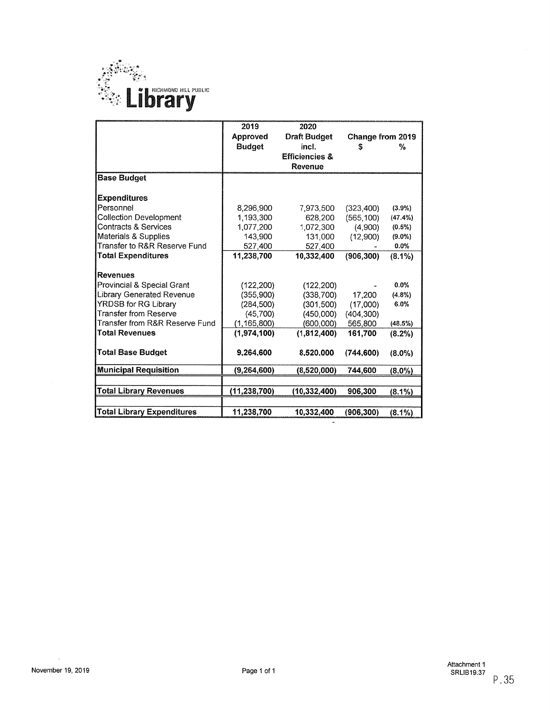

|                                   | 2019           | 2020                      |                  |           |
|-----------------------------------|----------------|---------------------------|------------------|-----------|
|                                   | Approved       | Draft Budget              | Change from 2019 |           |
|                                   | <b>Budget</b>  | incl.                     | \$               | %         |
|                                   |                | <b>Efficiencies &amp;</b> |                  |           |
|                                   |                | Revenue                   |                  |           |
| <b>Base Budget</b>                |                |                           |                  |           |
| <b>Expenditures</b>               |                |                           |                  |           |
| Personnel                         | 8.296.900      | 7,973,500                 | (323, 400)       | (3.9%)    |
| <b>Collection Development</b>     | 1,193,300      | 628.200                   | (565, 100)       | (47.4%)   |
| <b>Contracts &amp; Services</b>   | 1,077,200      | 1,072,300                 | (4,900)          | $(0.5\%)$ |
| Materials & Supplies              | 143,900        | 131,000                   | (12,900)         | $(9.0\%)$ |
| Transfer to R&R Reserve Fund      | 527,400        | 527,400                   |                  | $0.0\%$   |
| <b>Total Expenditures</b>         | 11,238,700     | 10,332,400                | (906, 300)       | $(8.1\%)$ |
|                                   |                |                           |                  |           |
| Revenues                          |                |                           |                  |           |
| Provincial & Special Grant        | (122, 200)     | (122, 200)                |                  | 0.0%      |
| Library Generated Revenue         | (355,900)      | (338, 700)                | 17,200           | $(4.8\%)$ |
| <b>YRDSB for RG Library</b>       | (284, 500)     | (301, 500)                | (17,000)         | 6.0%      |
| Transfer from Reserve             | (45,700)       | (450,000)                 | (404, 300)       |           |
| Transfer from R&R Reserve Fund    | (1, 165, 800)  | (600,000)                 | 565,800          | (48.5%)   |
| <b>Total Revenues</b>             | (1,974,100)    | (1,812,400)               | 161.700          | $(8.2\%)$ |
|                                   |                |                           |                  |           |
| <b>Total Base Budget</b>          | 9.264,600      | 8,520,000                 | (744, 600)       | $(8.0\%)$ |
| <b>Municipal Requisition</b>      | (9,264,600)    | (8,520,000)               | 744,600          | $(8.0\%)$ |
|                                   |                |                           |                  |           |
| <b>Total Library Revenues</b>     | (11, 238, 700) | (10, 332, 400)            | 906,300          | $(8.1\%)$ |
|                                   |                |                           |                  |           |
| <b>Total Library Expenditures</b> | 11,238,700     | 10,332,400                | (906, 300)       | $(8.1\%)$ |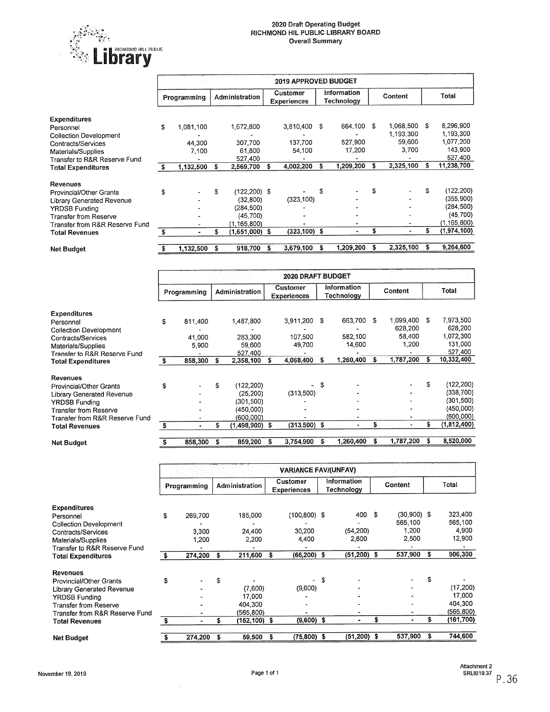

|                                |    | <b>2019 APPROVED BUDGET</b> |   |                 |   |                                |    |                           |    |           |    |               |
|--------------------------------|----|-----------------------------|---|-----------------|---|--------------------------------|----|---------------------------|----|-----------|----|---------------|
|                                |    | Programming                 |   | Administration  |   | Customer<br><b>Experiences</b> |    | Information<br>Technology |    | Content   |    | Total         |
| <b>Expenditures</b>            |    |                             |   |                 |   |                                |    |                           |    |           |    |               |
| Personnel                      | S  | 1.081,100                   |   | 1,672,800       |   | 3,810,400                      | S  | 664,100 \$                |    | 1,068,500 | S  | 8,296,900     |
| <b>Collection Development</b>  |    |                             |   |                 |   |                                |    |                           |    | 1.193.300 |    | 1.193,300     |
| Contracts/Services             |    | 44,300                      |   | 307,700         |   | 137.700                        |    | 527,900                   |    | 59,600    |    | 1,077,200     |
| Materials/Supplies             |    | 7,100                       |   | 61,800          |   | 54,100                         |    | 17,200                    |    | 3,700     |    | 143,900       |
| Transfer to R&R Reserve Fund   |    |                             |   | 527,400         |   |                                |    |                           |    |           |    | 527,400       |
| <b>Total Expenditures</b>      | S  | 1,132,500                   | s | 2,569,700       | s | 4,002,200                      | s  | 1,209,200                 | s  | 2,325,100 |    | 11,238,700    |
| <b>Revenues</b>                |    |                             |   |                 |   |                                |    |                           |    |           |    |               |
| Provincial/Other Grants        | S. |                             | S | $(122, 200)$ \$ |   |                                | \$ |                           | £  |           | \$ | (122, 200)    |
| Library Generated Revenue      |    |                             |   | (32, 800)       |   | (323, 100)                     |    |                           |    |           |    | (355, 900)    |
| <b>YRDSB Funding</b>           |    |                             |   | (284,500)       |   |                                |    |                           |    |           |    | (284, 500)    |
| Transfer from Reserve          |    |                             |   | (45, 700)       |   |                                |    |                           |    |           |    | (45, 700)     |
| Transfer from R&R Reserve Fund |    |                             |   | (1,165,800)     |   |                                |    |                           |    |           |    | (1, 165, 800) |
| <b>Total Revenues</b>          |    | ۰                           | S | (1,651,000) \$  |   | $(323, 100)$ \$                |    | ۰                         | \$ |           | S  | (1,974,100)   |
| Net Budget                     |    | 1,132,500                   | S | 918,700         | S | 3,679,100                      | S  | 1,209,200                 | s  | 2,325,100 |    | 9,264,600     |

|                                |    |             |   |                |   | 2020 DRAFT BUDGET              |     |                           |   |           |   |             |
|--------------------------------|----|-------------|---|----------------|---|--------------------------------|-----|---------------------------|---|-----------|---|-------------|
|                                |    | Programming |   | Administration |   | Customer<br><b>Experiences</b> |     | Information<br>Technology |   | Content   |   | Total       |
| <b>Expenditures</b>            |    |             |   |                |   |                                |     |                           |   |           |   |             |
| Personnel                      | S  | 811,400     |   | 1,487,800      |   | 3,911,200                      | - S | 663,700 \$                |   | 1,099,400 | S | 7,973,500   |
| <b>Collection Development</b>  |    |             |   |                |   |                                |     |                           |   | 628.200   |   | 628,200     |
| Contracts/Services             |    | 41,000      |   | 283.300        |   | 107.500                        |     | 582.100                   |   | 58,400    |   | 1,072,300   |
| Materials/Supplies             |    | 5,900       |   | 59,600         |   | 49,700                         |     | 14,600                    |   | 1,200     |   | 131,000     |
| Transfer to R&R Reserve Fund   |    |             |   | 527,400        |   |                                |     |                           |   |           |   | 527,400     |
| <b>Total Expenditures</b>      | s  | 858,300     | s | 2,358,100      |   | 4,068,400                      | S   | 1,260,400                 | S | 1,787,200 |   | 10,332,400  |
| <b>Revenues</b>                |    |             |   |                |   |                                |     |                           |   |           |   |             |
| Provincial/Other Grants        | \$ |             | S | (122,200)      |   |                                | S   |                           |   |           | S | (122,200)   |
| Library Generated Revenue      |    |             |   | (25, 200)      |   | (313,500)                      |     |                           |   |           |   | (338, 700)  |
| <b>YRDSB Funding</b>           |    |             |   | (301,500)      |   |                                |     |                           |   |           |   | (301,500)   |
| Transfer from Reserve          |    |             |   | (450,000)      |   |                                |     |                           |   |           |   | (450,000)   |
| Transfer from R&R Reserve Fund |    |             |   | (600.000)      |   |                                |     |                           |   |           |   | (600,000)   |
| <b>Total Revenues</b>          | S  |             | S | (1,498,900)    | S | $(313,500)$ \$                 |     |                           | S |           |   | (1,812,400) |
| <b>Net Budget</b>              |    | 858.300     | s | 859,200        | 5 | 3,754,900                      | \$. | 1,260,400                 | S | 1,787,200 | S | 8,520,000   |

|                                |    |             |    |                |   | <b>VARIANCE FAV/(UNFAV)</b>           |   |                           |   |                |    |            |
|--------------------------------|----|-------------|----|----------------|---|---------------------------------------|---|---------------------------|---|----------------|----|------------|
|                                |    | Programming |    | Administration |   | <b>Customer</b><br><b>Experiences</b> |   | Information<br>Technology |   | Content        |    | Total      |
| <b>Expenditures</b>            |    |             |    |                |   |                                       |   |                           |   |                |    |            |
| Personnel                      | \$ | 269,700     |    | 185,000        |   | $(100, 800)$ \$                       |   | 400 \$                    |   | $(30,900)$ \$  |    | 323,400    |
| <b>Collection Development</b>  |    |             |    |                |   |                                       |   |                           |   | 565,100        |    | 565,100    |
| Contracts/Services             |    | 3.300       |    | 24,400         |   | 30,200                                |   | (54.200)                  |   | 1,200          |    | 4,900      |
| Materials/Supplies             |    | 1,200       |    | 2.200          |   | 4,400                                 |   | 2.600                     |   | 2,500          |    | 12,900     |
| Transfer to R&R Reserve Fund   |    |             |    |                |   |                                       |   |                           |   |                |    |            |
| <b>Total Expenditures</b>      |    | 274,200     | Ŝ. | 211,600        | s | $(66, 200)$ \$                        |   | $(51,200)$ \$             |   | 537,900        | S  | 906.300    |
| Revenues                       |    |             |    |                |   |                                       |   |                           |   |                |    |            |
| Provincial/Other Grants        | S  |             | \$ |                |   |                                       | S |                           |   | $\overline{a}$ | S  |            |
| Library Generated Revenue      |    |             |    | (7,600)        |   | (9,600)                               |   |                           |   |                |    | (17, 200)  |
| <b>YRDSB Funding</b>           |    |             |    | 17,000         |   |                                       |   |                           |   |                |    | 17,000     |
| Transfer from Reserve          |    |             |    | 404,300        |   |                                       |   |                           |   |                |    | 404,300    |
| Transfer from R&R Reserve Fund |    | ٠           |    | (565,800)      |   |                                       |   |                           |   |                |    | (565, 800) |
| <b>Total Revenues</b>          | Ŝ  | ٠           | Ŝ  | (152,100) \$   |   | $(9,600)$ \$                          |   |                           | Ŝ |                | Ŝ  | (161,700)  |
|                                |    |             |    |                |   |                                       |   |                           |   |                |    |            |
| <b>Net Budget</b>              |    | 274,200     | \$ | 59,500         | s | (75,800) \$                           |   | $(51.200)$ \$             |   | 537,900        | -5 | 744,600    |

 $\langle \rho \rangle$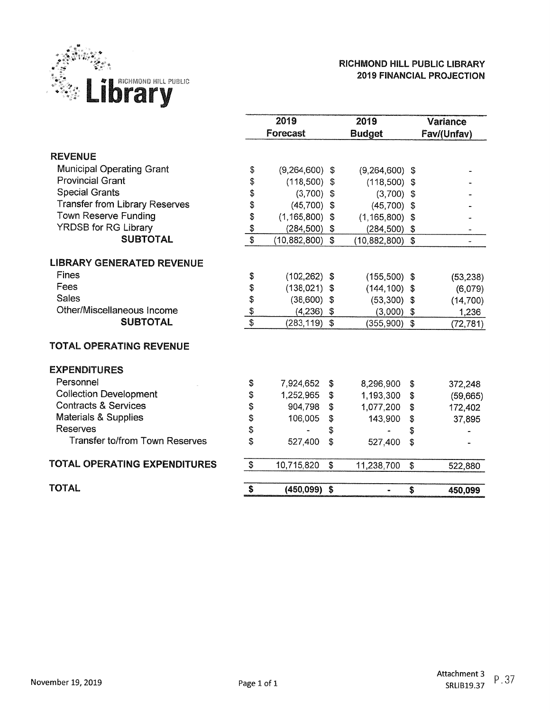

#### RICHMOND HILL PUBLIC LIBRARY **2019 FINANCIAL PROJECTION**

|                                       |               | 2019               |                           | 2019             |                           | <b>Variance</b> |
|---------------------------------------|---------------|--------------------|---------------------------|------------------|---------------------------|-----------------|
|                                       |               | <b>Forecast</b>    |                           | <b>Budget</b>    |                           | Fav/(Unfav)     |
| <b>REVENUE</b>                        |               |                    |                           |                  |                           |                 |
| <b>Municipal Operating Grant</b>      | \$            | $(9,264,600)$ \$   |                           | $(9,264,600)$ \$ |                           |                 |
| <b>Provincial Grant</b>               | \$            | $(118,500)$ \$     |                           | (118,500)        | \$                        |                 |
| <b>Special Grants</b>                 | \$            | $(3,700)$ \$       |                           | (3,700)          | \$                        |                 |
| <b>Transfer from Library Reserves</b> | \$            | $(45,700)$ \$      |                           | (45,700)         | \$                        |                 |
| <b>Town Reserve Funding</b>           | \$            | $(1, 165, 800)$ \$ |                           | (1, 165, 800)    | $\mathbf{\hat{3}}$        |                 |
| <b>YRDSB for RG Library</b>           |               | $(284, 500)$ \$    |                           | $(284, 500)$ \$  |                           |                 |
| <b>SUBTOTAL</b>                       | $\frac{6}{3}$ | (10, 882, 800)     | $\mathbf{\hat{s}}$        | (10, 882, 800)   | $\boldsymbol{\mathsf{s}}$ |                 |
|                                       |               |                    |                           |                  |                           |                 |
| <b>LIBRARY GENERATED REVENUE</b>      |               |                    |                           |                  |                           |                 |
| <b>Fines</b>                          | \$            | $(102, 262)$ \$    |                           | $(155,500)$ \$   |                           | (53, 238)       |
| Fees                                  | \$            | $(138, 021)$ \$    |                           | $(144, 100)$ \$  |                           | (6,079)         |
| <b>Sales</b>                          | \$            | $(38,600)$ \$      |                           | $(53,300)$ \$    |                           | (14, 700)       |
| Other/Miscellaneous Income            |               | $(4,236)$ \$       |                           | $(3,000)$ \$     |                           | 1,236           |
| <b>SUBTOTAL</b>                       | $\frac{3}{3}$ | $(283, 119)$ \$    |                           | $(355,900)$ \$   |                           | (72, 781)       |
| <b>TOTAL OPERATING REVENUE</b>        |               |                    |                           |                  |                           |                 |
| <b>EXPENDITURES</b>                   |               |                    |                           |                  |                           |                 |
| Personnel                             | \$            | 7,924,652          | \$                        | 8,296,900        | \$                        | 372,248         |
| <b>Collection Development</b>         | \$            | 1,252,965          | \$                        | 1,193,300        | \$                        | (59,665)        |
| <b>Contracts &amp; Services</b>       | \$            | 904,798            | \$                        | 1,077,200        | \$                        | 172,402         |
| Materials & Supplies                  | \$            | 106,005            | \$                        | 143,900          | \$                        | 37,895          |
| Reserves                              | \$            |                    | \$                        |                  | \$                        |                 |
| <b>Transfer to/from Town Reserves</b> | \$            | 527,400            | \$                        | 527,400          | \$                        |                 |
| <b>TOTAL OPERATING EXPENDITURES</b>   | ${\mathbb S}$ | 10,715,820         | $\boldsymbol{\mathsf{S}}$ | 11,238,700       | \$                        | 522,880         |
|                                       |               |                    |                           |                  |                           |                 |
| <b>TOTAL</b>                          | \$            | $(450,099)$ \$     |                           | $\blacksquare$   | \$                        | 450,099         |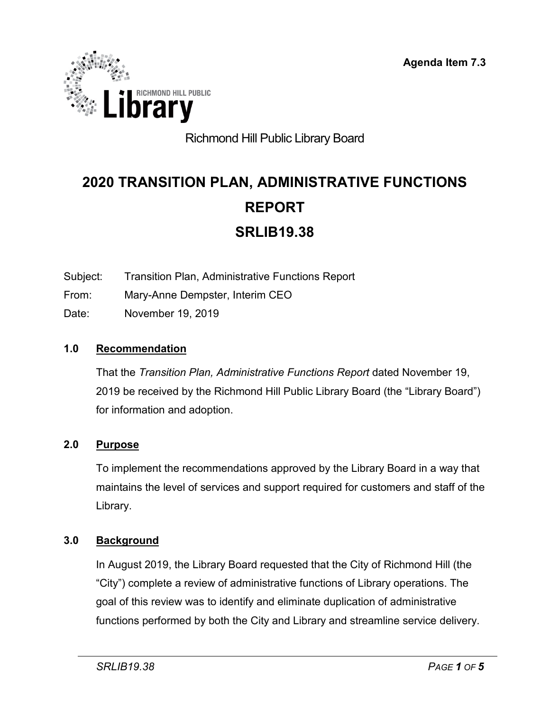

# Richmond Hill Public Library Board

# **2020 TRANSITION PLAN, ADMINISTRATIVE FUNCTIONS REPORT SRLIB19.38**

- Subject: Transition Plan, Administrative Functions Report
- From: Mary-Anne Dempster, Interim CEO
- Date: November 19, 2019

#### **1.0 Recommendation**

That the *Transition Plan, Administrative Functions Report* dated November 19, 2019 be received by the Richmond Hill Public Library Board (the "Library Board") for information and adoption.

#### **2.0 Purpose**

To implement the recommendations approved by the Library Board in a way that maintains the level of services and support required for customers and staff of the Library.

#### **3.0 Background**

In August 2019, the Library Board requested that the City of Richmond Hill (the "City") complete a review of administrative functions of Library operations. The goal of this review was to identify and eliminate duplication of administrative functions performed by both the City and Library and streamline service delivery.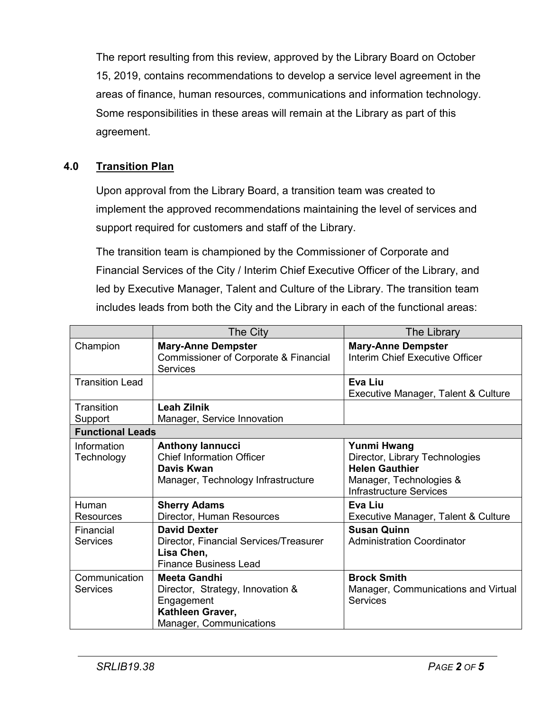The report resulting from this review, approved by the Library Board on October 15, 2019, contains recommendations to develop a service level agreement in the areas of finance, human resources, communications and information technology. Some responsibilities in these areas will remain at the Library as part of this agreement.

#### **4.0 Transition Plan**

Upon approval from the Library Board, a transition team was created to implement the approved recommendations maintaining the level of services and support required for customers and staff of the Library.

The transition team is championed by the Commissioner of Corporate and Financial Services of the City / Interim Chief Executive Officer of the Library, and led by Executive Manager, Talent and Culture of the Library. The transition team includes leads from both the City and the Library in each of the functional areas:

|                              | The City                                                                                                             | The Library                                                                                                                                |
|------------------------------|----------------------------------------------------------------------------------------------------------------------|--------------------------------------------------------------------------------------------------------------------------------------------|
| Champion                     | <b>Mary-Anne Dempster</b><br>Commissioner of Corporate & Financial<br><b>Services</b>                                | <b>Mary-Anne Dempster</b><br>Interim Chief Executive Officer                                                                               |
| <b>Transition Lead</b>       |                                                                                                                      | Eva Liu<br>Executive Manager, Talent & Culture                                                                                             |
| Transition<br>Support        | <b>Leah Zilnik</b><br>Manager, Service Innovation                                                                    |                                                                                                                                            |
| <b>Functional Leads</b>      |                                                                                                                      |                                                                                                                                            |
| Information<br>Technology    | <b>Anthony lannucci</b><br><b>Chief Information Officer</b><br>Davis Kwan<br>Manager, Technology Infrastructure      | <b>Yunmi Hwang</b><br>Director, Library Technologies<br><b>Helen Gauthier</b><br>Manager, Technologies &<br><b>Infrastructure Services</b> |
| Human<br>Resources           | <b>Sherry Adams</b><br>Director, Human Resources                                                                     | Eva Liu<br>Executive Manager, Talent & Culture                                                                                             |
| Financial<br><b>Services</b> | <b>David Dexter</b><br>Director, Financial Services/Treasurer<br>Lisa Chen,<br><b>Finance Business Lead</b>          | <b>Susan Quinn</b><br><b>Administration Coordinator</b>                                                                                    |
| Communication<br>Services    | <b>Meeta Gandhi</b><br>Director, Strategy, Innovation &<br>Engagement<br>Kathleen Graver,<br>Manager, Communications | <b>Brock Smith</b><br>Manager, Communications and Virtual<br><b>Services</b>                                                               |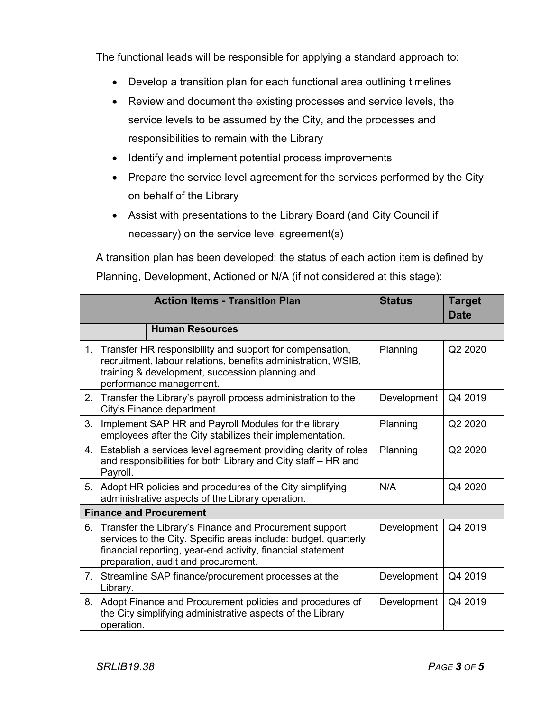The functional leads will be responsible for applying a standard approach to:

- Develop a transition plan for each functional area outlining timelines
- Review and document the existing processes and service levels, the service levels to be assumed by the City, and the processes and responsibilities to remain with the Library
- Identify and implement potential process improvements
- Prepare the service level agreement for the services performed by the City on behalf of the Library
- Assist with presentations to the Library Board (and City Council if necessary) on the service level agreement(s)

A transition plan has been developed; the status of each action item is defined by Planning, Development, Actioned or N/A (if not considered at this stage):

|         | <b>Action Items - Transition Plan</b>                                                                                                                                                                                              | <b>Status</b> | <b>Target</b><br><b>Date</b> |  |  |  |  |  |  |  |
|---------|------------------------------------------------------------------------------------------------------------------------------------------------------------------------------------------------------------------------------------|---------------|------------------------------|--|--|--|--|--|--|--|
|         | <b>Human Resources</b>                                                                                                                                                                                                             |               |                              |  |  |  |  |  |  |  |
| $1_{-}$ | Planning<br>Transfer HR responsibility and support for compensation,<br>recruitment, labour relations, benefits administration, WSIB,<br>training & development, succession planning and<br>performance management.                |               |                              |  |  |  |  |  |  |  |
| 2.      | Transfer the Library's payroll process administration to the<br>City's Finance department.                                                                                                                                         | Development   | Q4 2019                      |  |  |  |  |  |  |  |
| 3.      | Implement SAP HR and Payroll Modules for the library<br>employees after the City stabilizes their implementation.                                                                                                                  | Planning      | Q2 2020                      |  |  |  |  |  |  |  |
| 4.      | Establish a services level agreement providing clarity of roles<br>Planning<br>and responsibilities for both Library and City staff - HR and<br>Payroll.                                                                           |               |                              |  |  |  |  |  |  |  |
|         | 5. Adopt HR policies and procedures of the City simplifying<br>administrative aspects of the Library operation.                                                                                                                    | N/A           | Q4 2020                      |  |  |  |  |  |  |  |
|         | <b>Finance and Procurement</b>                                                                                                                                                                                                     |               |                              |  |  |  |  |  |  |  |
|         | 6. Transfer the Library's Finance and Procurement support<br>services to the City. Specific areas include: budget, quarterly<br>financial reporting, year-end activity, financial statement<br>preparation, audit and procurement. | Development   | Q4 2019                      |  |  |  |  |  |  |  |
| 7.      | Streamline SAP finance/procurement processes at the<br>Library.                                                                                                                                                                    | Development   | Q4 2019                      |  |  |  |  |  |  |  |
| 8.      | Adopt Finance and Procurement policies and procedures of<br>the City simplifying administrative aspects of the Library<br>operation.                                                                                               | Development   | Q4 2019                      |  |  |  |  |  |  |  |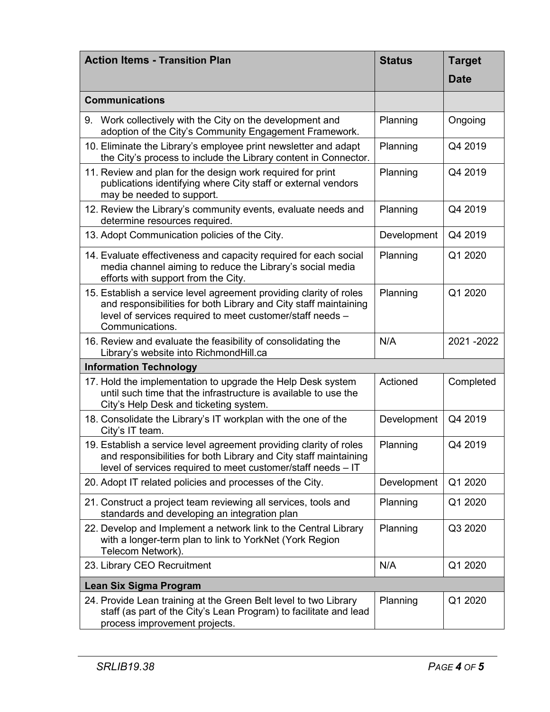| <b>Action Items - Transition Plan</b>                                                                                                                                                                                  | <b>Status</b> | <b>Target</b> |
|------------------------------------------------------------------------------------------------------------------------------------------------------------------------------------------------------------------------|---------------|---------------|
|                                                                                                                                                                                                                        |               | <b>Date</b>   |
| <b>Communications</b>                                                                                                                                                                                                  |               |               |
| 9. Work collectively with the City on the development and<br>adoption of the City's Community Engagement Framework.                                                                                                    | Planning      | Ongoing       |
| 10. Eliminate the Library's employee print newsletter and adapt<br>the City's process to include the Library content in Connector.                                                                                     | Planning      | Q4 2019       |
| 11. Review and plan for the design work required for print<br>publications identifying where City staff or external vendors<br>may be needed to support.                                                               | Planning      | Q4 2019       |
| 12. Review the Library's community events, evaluate needs and<br>determine resources required.                                                                                                                         | Planning      | Q4 2019       |
| 13. Adopt Communication policies of the City.                                                                                                                                                                          | Development   | Q4 2019       |
| 14. Evaluate effectiveness and capacity required for each social<br>media channel aiming to reduce the Library's social media<br>efforts with support from the City.                                                   | Planning      | Q1 2020       |
| 15. Establish a service level agreement providing clarity of roles<br>and responsibilities for both Library and City staff maintaining<br>level of services required to meet customer/staff needs -<br>Communications. | Planning      | Q1 2020       |
| 16. Review and evaluate the feasibility of consolidating the<br>Library's website into RichmondHill.ca                                                                                                                 | N/A           | 2021-2022     |
| <b>Information Technology</b>                                                                                                                                                                                          |               |               |
| 17. Hold the implementation to upgrade the Help Desk system<br>until such time that the infrastructure is available to use the<br>City's Help Desk and ticketing system.                                               | Actioned      | Completed     |
| 18. Consolidate the Library's IT workplan with the one of the<br>City's IT team.                                                                                                                                       | Development   | Q4 2019       |
| 19. Establish a service level agreement providing clarity of roles<br>and responsibilities for both Library and City staff maintaining<br>level of services required to meet customer/staff needs - IT                 | Planning      | Q4 2019       |
| 20. Adopt IT related policies and processes of the City.                                                                                                                                                               | Development   | Q1 2020       |
| 21. Construct a project team reviewing all services, tools and<br>standards and developing an integration plan                                                                                                         | Planning      | Q1 2020       |
| 22. Develop and Implement a network link to the Central Library<br>with a longer-term plan to link to YorkNet (York Region<br>Telecom Network).                                                                        | Planning      | Q3 2020       |
| 23. Library CEO Recruitment                                                                                                                                                                                            | N/A           | Q1 2020       |
| Lean Six Sigma Program                                                                                                                                                                                                 |               |               |
| 24. Provide Lean training at the Green Belt level to two Library<br>staff (as part of the City's Lean Program) to facilitate and lead<br>process improvement projects.                                                 | Planning      | Q1 2020       |